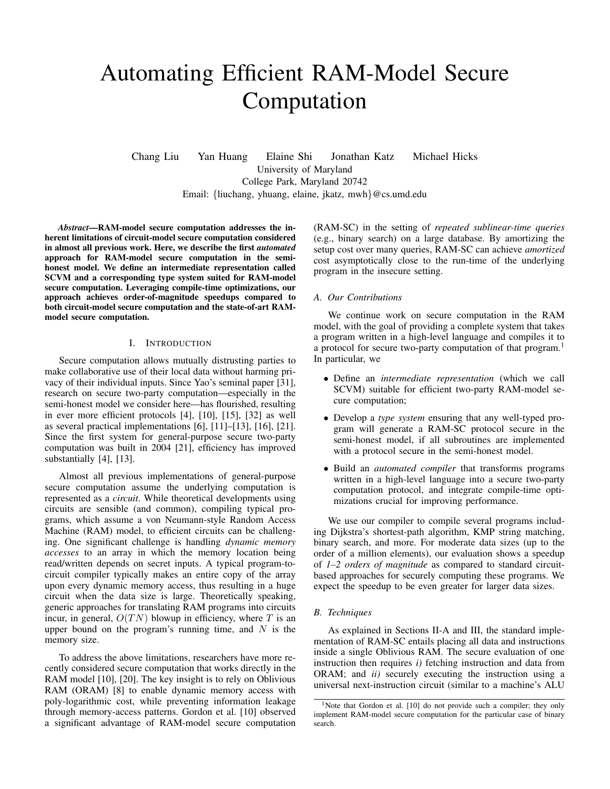# Automating Efficient RAM-Model Secure Computation

Chang Liu Yan Huang Elaine Shi Jonathan Katz Michael Hicks University of Maryland College Park, Maryland 20742 Email: {liuchang, yhuang, elaine, jkatz, mwh}@cs.umd.edu

*Abstract*—RAM-model secure computation addresses the inherent limitations of circuit-model secure computation considered in almost all previous work. Here, we describe the first *automated* approach for RAM-model secure computation in the semihonest model. We define an intermediate representation called SCVM and a corresponding type system suited for RAM-model secure computation. Leveraging compile-time optimizations, our approach achieves order-of-magnitude speedups compared to both circuit-model secure computation and the state-of-art RAMmodel secure computation.

#### I. INTRODUCTION

Secure computation allows mutually distrusting parties to make collaborative use of their local data without harming privacy of their individual inputs. Since Yao's seminal paper [31], research on secure two-party computation—especially in the semi-honest model we consider here—has flourished, resulting in ever more efficient protocols [4], [10], [15], [32] as well as several practical implementations [6], [11]–[13], [16], [21]. Since the first system for general-purpose secure two-party computation was built in 2004 [21], efficiency has improved substantially [4], [13].

Almost all previous implementations of general-purpose secure computation assume the underlying computation is represented as a *circuit*. While theoretical developments using circuits are sensible (and common), compiling typical programs, which assume a von Neumann-style Random Access Machine (RAM) model, to efficient circuits can be challenging. One significant challenge is handling *dynamic memory accesses* to an array in which the memory location being read/written depends on secret inputs. A typical program-tocircuit compiler typically makes an entire copy of the array upon every dynamic memory access, thus resulting in a huge circuit when the data size is large. Theoretically speaking, generic approaches for translating RAM programs into circuits incur, in general,  $O(TN)$  blowup in efficiency, where T is an upper bound on the program's running time, and  $N$  is the memory size.

To address the above limitations, researchers have more recently considered secure computation that works directly in the RAM model [10], [20]. The key insight is to rely on Oblivious RAM (ORAM) [8] to enable dynamic memory access with poly-logarithmic cost, while preventing information leakage through memory-access patterns. Gordon et al. [10] observed a significant advantage of RAM-model secure computation (RAM-SC) in the setting of *repeated sublinear-time queries* (e.g., binary search) on a large database. By amortizing the setup cost over many queries, RAM-SC can achieve *amortized* cost asymptotically close to the run-time of the underlying program in the insecure setting.

#### *A. Our Contributions*

We continue work on secure computation in the RAM model, with the goal of providing a complete system that takes a program written in a high-level language and compiles it to a protocol for secure two-party computation of that program.<sup>1</sup> In particular, we

- Define an *intermediate representation* (which we call SCVM) suitable for efficient two-party RAM-model secure computation;
- Develop a *type system* ensuring that any well-typed program will generate a RAM-SC protocol secure in the semi-honest model, if all subroutines are implemented with a protocol secure in the semi-honest model.
- Build an *automated compiler* that transforms programs written in a high-level language into a secure two-party computation protocol, and integrate compile-time optimizations crucial for improving performance.

We use our compiler to compile several programs including Dijkstra's shortest-path algorithm, KMP string matching, binary search, and more. For moderate data sizes (up to the order of a million elements), our evaluation shows a speedup of *1–2 orders of magnitude* as compared to standard circuitbased approaches for securely computing these programs. We expect the speedup to be even greater for larger data sizes.

# *B. Techniques*

As explained in Sections II-A and III, the standard implementation of RAM-SC entails placing all data and instructions inside a single Oblivious RAM. The secure evaluation of one instruction then requires *i)* fetching instruction and data from ORAM; and *ii)* securely executing the instruction using a universal next-instruction circuit (similar to a machine's ALU

<sup>&</sup>lt;sup>1</sup>Note that Gordon et al. [10] do not provide such a compiler; they only implement RAM-model secure computation for the particular case of binary search.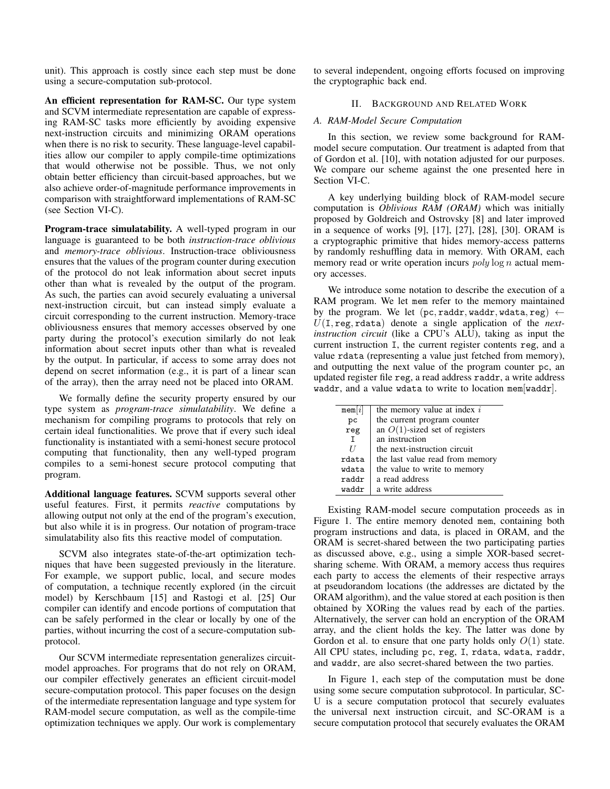unit). This approach is costly since each step must be done using a secure-computation sub-protocol.

An efficient representation for RAM-SC. Our type system and SCVM intermediate representation are capable of expressing RAM-SC tasks more efficiently by avoiding expensive next-instruction circuits and minimizing ORAM operations when there is no risk to security. These language-level capabilities allow our compiler to apply compile-time optimizations that would otherwise not be possible. Thus, we not only obtain better efficiency than circuit-based approaches, but we also achieve order-of-magnitude performance improvements in comparison with straightforward implementations of RAM-SC (see Section VI-C).

Program-trace simulatability. A well-typed program in our language is guaranteed to be both *instruction-trace oblivious* and *memory-trace oblivious*. Instruction-trace obliviousness ensures that the values of the program counter during execution of the protocol do not leak information about secret inputs other than what is revealed by the output of the program. As such, the parties can avoid securely evaluating a universal next-instruction circuit, but can instead simply evaluate a circuit corresponding to the current instruction. Memory-trace obliviousness ensures that memory accesses observed by one party during the protocol's execution similarly do not leak information about secret inputs other than what is revealed by the output. In particular, if access to some array does not depend on secret information (e.g., it is part of a linear scan of the array), then the array need not be placed into ORAM.

We formally define the security property ensured by our type system as *program-trace simulatability*. We define a mechanism for compiling programs to protocols that rely on certain ideal functionalities. We prove that if every such ideal functionality is instantiated with a semi-honest secure protocol computing that functionality, then any well-typed program compiles to a semi-honest secure protocol computing that program.

Additional language features. SCVM supports several other useful features. First, it permits *reactive* computations by allowing output not only at the end of the program's execution, but also while it is in progress. Our notation of program-trace simulatability also fits this reactive model of computation.

SCVM also integrates state-of-the-art optimization techniques that have been suggested previously in the literature. For example, we support public, local, and secure modes of computation, a technique recently explored (in the circuit model) by Kerschbaum [15] and Rastogi et al. [25] Our compiler can identify and encode portions of computation that can be safely performed in the clear or locally by one of the parties, without incurring the cost of a secure-computation subprotocol.

Our SCVM intermediate representation generalizes circuitmodel approaches. For programs that do not rely on ORAM, our compiler effectively generates an efficient circuit-model secure-computation protocol. This paper focuses on the design of the intermediate representation language and type system for RAM-model secure computation, as well as the compile-time optimization techniques we apply. Our work is complementary

to several independent, ongoing efforts focused on improving the cryptographic back end.

# II. BACKGROUND AND RELATED WORK

# *A. RAM-Model Secure Computation*

In this section, we review some background for RAMmodel secure computation. Our treatment is adapted from that of Gordon et al. [10], with notation adjusted for our purposes. We compare our scheme against the one presented here in Section VI-C.

A key underlying building block of RAM-model secure computation is *Oblivious RAM (ORAM)* which was initially proposed by Goldreich and Ostrovsky [8] and later improved in a sequence of works [9], [17], [27], [28], [30]. ORAM is a cryptographic primitive that hides memory-access patterns by randomly reshuffling data in memory. With ORAM, each memory read or write operation incurs  $poly \log n$  actual memory accesses.

We introduce some notation to describe the execution of a RAM program. We let mem refer to the memory maintained by the program. We let (pc, raddr, waddr, wdata, reg)  $\leftarrow$ U(I, reg, rdata) denote a single application of the *nextinstruction circuit* (like a CPU's ALU), taking as input the current instruction I, the current register contents reg, and a value rdata (representing a value just fetched from memory), and outputting the next value of the program counter pc, an updated register file reg, a read address raddr, a write address waddr, and a value wdata to write to location mem[waddr].

| mem[i] | the memory value at index $i$     |
|--------|-----------------------------------|
| pc     | the current program counter       |
| reg    | an $O(1)$ -sized set of registers |
| I      | an instruction                    |
| T)     | the next-instruction circuit      |
| rdata  | the last value read from memory   |
| wdata  | the value to write to memory      |
| raddr  | a read address                    |
| waddr  | a write address                   |

Existing RAM-model secure computation proceeds as in Figure 1. The entire memory denoted mem, containing both program instructions and data, is placed in ORAM, and the ORAM is secret-shared between the two participating parties as discussed above, e.g., using a simple XOR-based secretsharing scheme. With ORAM, a memory access thus requires each party to access the elements of their respective arrays at pseudorandom locations (the addresses are dictated by the ORAM algorithm), and the value stored at each position is then obtained by XORing the values read by each of the parties. Alternatively, the server can hold an encryption of the ORAM array, and the client holds the key. The latter was done by Gordon et al. to ensure that one party holds only  $O(1)$  state. All CPU states, including pc, reg, I, rdata, wdata, raddr, and waddr, are also secret-shared between the two parties.

In Figure 1, each step of the computation must be done using some secure computation subprotocol. In particular, SC-U is a secure computation protocol that securely evaluates the universal next instruction circuit, and SC-ORAM is a secure computation protocol that securely evaluates the ORAM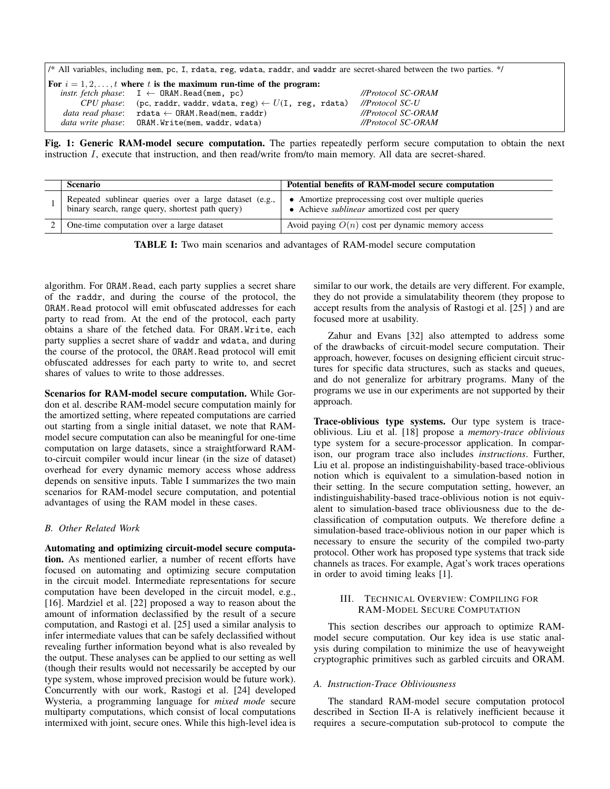| /* All variables, including mem, pc, I, rdata, reg, wdata, raddr, and waddr are secret-shared between the two parties. */ |                                                                            |                    |  |
|---------------------------------------------------------------------------------------------------------------------------|----------------------------------------------------------------------------|--------------------|--|
| For $i = 1, 2, \ldots, t$ where t is the maximum run-time of the program:                                                 |                                                                            |                    |  |
|                                                                                                                           | <i>instr. fetch phase</i> : $I \leftarrow \text{ORAM}$ . Read (mem, pc)    | //Protocol SC-ORAM |  |
|                                                                                                                           | CPU phase: (pc, raddr, waddr, wdata, reg) $\leftarrow$ U(I, reg, rdata)    | //Protocol SC-U    |  |
|                                                                                                                           | <i>data read phase</i> : $rdata \leftarrow \text{ORAM}$ . Read(mem, raddr) | //Protocol SC-ORAM |  |
|                                                                                                                           | <i>data write phase</i> : ORAM. Write (mem, waddr, wdata)                  | //Protocol SC-ORAM |  |

Fig. 1: Generic RAM-model secure computation. The parties repeatedly perform secure computation to obtain the next instruction I, execute that instruction, and then read/write from/to main memory. All data are secret-shared.

| <b>Scenario</b>                                                                                         | Potential benefits of RAM-model secure computation                                                         |
|---------------------------------------------------------------------------------------------------------|------------------------------------------------------------------------------------------------------------|
| Repeated sublinear queries over a large dataset (e.g., binary search, range query, shortest path query) | • Amortize preprocessing cost over multiple queries<br>• Achieve <i>sublinear</i> amortized cost per query |
| One-time computation over a large dataset                                                               | Avoid paying $O(n)$ cost per dynamic memory access                                                         |

TABLE I: Two main scenarios and advantages of RAM-model secure computation

algorithm. For ORAM.Read, each party supplies a secret share of the raddr, and during the course of the protocol, the ORAM.Read protocol will emit obfuscated addresses for each party to read from. At the end of the protocol, each party obtains a share of the fetched data. For ORAM.Write, each party supplies a secret share of waddr and wdata, and during the course of the protocol, the ORAM.Read protocol will emit obfuscated addresses for each party to write to, and secret shares of values to write to those addresses.

Scenarios for RAM-model secure computation. While Gordon et al. describe RAM-model secure computation mainly for the amortized setting, where repeated computations are carried out starting from a single initial dataset, we note that RAMmodel secure computation can also be meaningful for one-time computation on large datasets, since a straightforward RAMto-circuit compiler would incur linear (in the size of dataset) overhead for every dynamic memory access whose address depends on sensitive inputs. Table I summarizes the two main scenarios for RAM-model secure computation, and potential advantages of using the RAM model in these cases.

# *B. Other Related Work*

Automating and optimizing circuit-model secure computation. As mentioned earlier, a number of recent efforts have focused on automating and optimizing secure computation in the circuit model. Intermediate representations for secure computation have been developed in the circuit model, e.g., [16]. Mardziel et al. [22] proposed a way to reason about the amount of information declassified by the result of a secure computation, and Rastogi et al. [25] used a similar analysis to infer intermediate values that can be safely declassified without revealing further information beyond what is also revealed by the output. These analyses can be applied to our setting as well (though their results would not necessarily be accepted by our type system, whose improved precision would be future work). Concurrently with our work, Rastogi et al. [24] developed Wysteria, a programming language for *mixed mode* secure multiparty computations, which consist of local computations intermixed with joint, secure ones. While this high-level idea is

similar to our work, the details are very different. For example, they do not provide a simulatability theorem (they propose to accept results from the analysis of Rastogi et al. [25] ) and are focused more at usability.

Zahur and Evans [32] also attempted to address some of the drawbacks of circuit-model secure computation. Their approach, however, focuses on designing efficient circuit structures for specific data structures, such as stacks and queues, and do not generalize for arbitrary programs. Many of the programs we use in our experiments are not supported by their approach.

Trace-oblivious type systems. Our type system is traceoblivious. Liu et al. [18] propose a *memory-trace oblivious* type system for a secure-processor application. In comparison, our program trace also includes *instructions*. Further, Liu et al. propose an indistinguishability-based trace-oblivious notion which is equivalent to a simulation-based notion in their setting. In the secure computation setting, however, an indistinguishability-based trace-oblivious notion is not equivalent to simulation-based trace obliviousness due to the declassification of computation outputs. We therefore define a simulation-based trace-oblivious notion in our paper which is necessary to ensure the security of the compiled two-party protocol. Other work has proposed type systems that track side channels as traces. For example, Agat's work traces operations in order to avoid timing leaks [1].

# III. TECHNICAL OVERVIEW: COMPILING FOR RAM-MODEL SECURE COMPUTATION

This section describes our approach to optimize RAMmodel secure computation. Our key idea is use static analysis during compilation to minimize the use of heavyweight cryptographic primitives such as garbled circuits and ORAM.

# *A. Instruction-Trace Obliviousness*

The standard RAM-model secure computation protocol described in Section II-A is relatively inefficient because it requires a secure-computation sub-protocol to compute the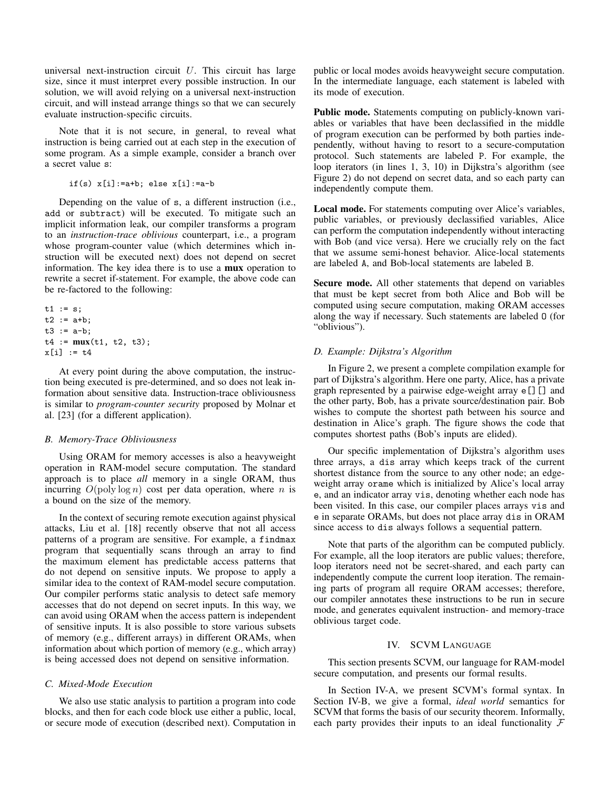universal next-instruction circuit  $U$ . This circuit has large size, since it must interpret every possible instruction. In our solution, we will avoid relying on a universal next-instruction circuit, and will instead arrange things so that we can securely evaluate instruction-specific circuits.

Note that it is not secure, in general, to reveal what instruction is being carried out at each step in the execution of some program. As a simple example, consider a branch over a secret value s:

if(s)  $x[i]:=a+b$ ; else  $x[i]:=a-b$ 

Depending on the value of s, a different instruction (i.e., add or subtract) will be executed. To mitigate such an implicit information leak, our compiler transforms a program to an *instruction-trace oblivious* counterpart, i.e., a program whose program-counter value (which determines which instruction will be executed next) does not depend on secret information. The key idea there is to use a mux operation to rewrite a secret if-statement. For example, the above code can be re-factored to the following:

```
t1 := s;
t2 := a+b;t3 := a-b;t4 := \max(t1, t2, t3);x[i] := t4
```
At every point during the above computation, the instruction being executed is pre-determined, and so does not leak information about sensitive data. Instruction-trace obliviousness is similar to *program-counter security* proposed by Molnar et al. [23] (for a different application).

#### *B. Memory-Trace Obliviousness*

Using ORAM for memory accesses is also a heavyweight operation in RAM-model secure computation. The standard approach is to place *all* memory in a single ORAM, thus incurring  $O(\text{poly}\log n)$  cost per data operation, where n is a bound on the size of the memory.

In the context of securing remote execution against physical attacks, Liu et al. [18] recently observe that not all access patterns of a program are sensitive. For example, a findmax program that sequentially scans through an array to find the maximum element has predictable access patterns that do not depend on sensitive inputs. We propose to apply a similar idea to the context of RAM-model secure computation. Our compiler performs static analysis to detect safe memory accesses that do not depend on secret inputs. In this way, we can avoid using ORAM when the access pattern is independent of sensitive inputs. It is also possible to store various subsets of memory (e.g., different arrays) in different ORAMs, when information about which portion of memory (e.g., which array) is being accessed does not depend on sensitive information.

# *C. Mixed-Mode Execution*

We also use static analysis to partition a program into code blocks, and then for each code block use either a public, local, or secure mode of execution (described next). Computation in public or local modes avoids heavyweight secure computation. In the intermediate language, each statement is labeled with its mode of execution.

Public mode. Statements computing on publicly-known variables or variables that have been declassified in the middle of program execution can be performed by both parties independently, without having to resort to a secure-computation protocol. Such statements are labeled P. For example, the loop iterators (in lines 1, 3, 10) in Dijkstra's algorithm (see Figure 2) do not depend on secret data, and so each party can independently compute them.

Local mode. For statements computing over Alice's variables, public variables, or previously declassified variables, Alice can perform the computation independently without interacting with Bob (and vice versa). Here we crucially rely on the fact that we assume semi-honest behavior. Alice-local statements are labeled A, and Bob-local statements are labeled B.

Secure mode. All other statements that depend on variables that must be kept secret from both Alice and Bob will be computed using secure computation, making ORAM accesses along the way if necessary. Such statements are labeled O (for "oblivious").

# *D. Example: Dijkstra's Algorithm*

In Figure 2, we present a complete compilation example for part of Dijkstra's algorithm. Here one party, Alice, has a private graph represented by a pairwise edge-weight array e[][] and the other party, Bob, has a private source/destination pair. Bob wishes to compute the shortest path between his source and destination in Alice's graph. The figure shows the code that computes shortest paths (Bob's inputs are elided).

Our specific implementation of Dijkstra's algorithm uses three arrays, a dis array which keeps track of the current shortest distance from the source to any other node; an edgeweight array orame which is initialized by Alice's local array e, and an indicator array vis, denoting whether each node has been visited. In this case, our compiler places arrays vis and e in separate ORAMs, but does not place array dis in ORAM since access to dis always follows a sequential pattern.

Note that parts of the algorithm can be computed publicly. For example, all the loop iterators are public values; therefore, loop iterators need not be secret-shared, and each party can independently compute the current loop iteration. The remaining parts of program all require ORAM accesses; therefore, our compiler annotates these instructions to be run in secure mode, and generates equivalent instruction- and memory-trace oblivious target code.

#### IV. SCVM LANGUAGE

This section presents SCVM, our language for RAM-model secure computation, and presents our formal results.

In Section IV-A, we present SCVM's formal syntax. In Section IV-B, we give a formal, *ideal world* semantics for SCVM that forms the basis of our security theorem. Informally, each party provides their inputs to an ideal functionality  $\mathcal F$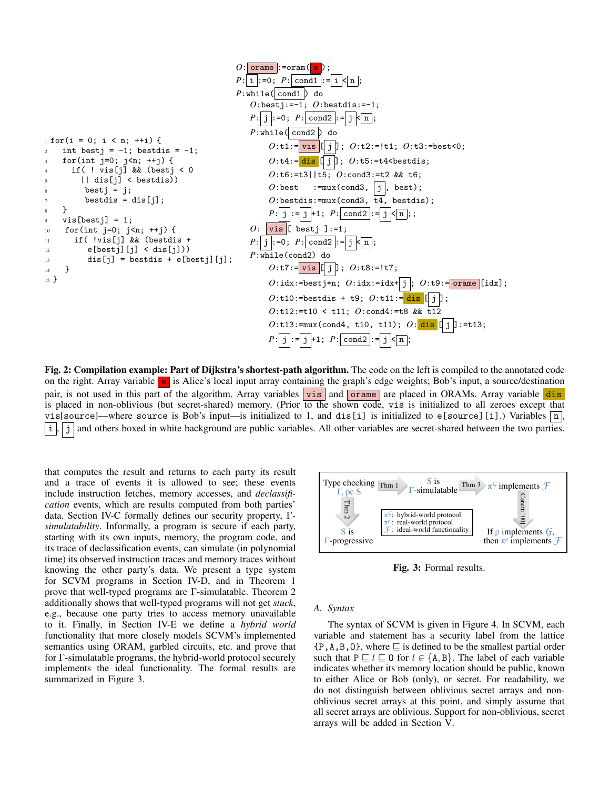

Fig. 2: Compilation example: Part of Dijkstra's shortest-path algorithm. The code on the left is compiled to the annotated code on the right. Array variable e is Alice's local input array containing the graph's edge weights; Bob's input, a source/destination pair, is not used in this part of the algorithm. Array variables vis and orame are placed in ORAMs. Array variable dis is placed in non-oblivious (but secret-shared) memory. (Prior to the shown code, vis is initialized to all zeroes except that vis[source]—where source is Bob's input—is initialized to 1, and dis[i] is initialized to e[source][i].) Variables  $\overline{n}$ ,  $\vert i \vert j \vert$  and others boxed in white background are public variables. All other variables are secret-shared between the two parties.

that computes the result and returns to each party its result and a trace of events it is allowed to see; these events include instruction fetches, memory accesses, and *declassification* events, which are results computed from both parties' data. Section IV-C formally defines our security property, Γ*simulatability*. Informally, a program is secure if each party, starting with its own inputs, memory, the program code, and its trace of declassification events, can simulate (in polynomial time) its observed instruction traces and memory traces without knowing the other party's data. We present a type system for SCVM programs in Section IV-D, and in Theorem 1 prove that well-typed programs are Γ-simulatable. Theorem 2 additionally shows that well-typed programs will not get *stuck*, e.g., because one party tries to access memory unavailable to it. Finally, in Section IV-E we define a *hybrid world* functionality that more closely models SCVM's implemented semantics using ORAM, garbled circuits, etc. and prove that for Γ-simulatable programs, the hybrid-world protocol securely implements the ideal functionality. The formal results are summarized in Figure 3.



Fig. 3: Formal results.

#### *A. Syntax*

The syntax of SCVM is given in Figure 4. In SCVM, each variable and statement has a security label from the lattice  $\{P, A, B, 0\}$ , where  $\sqsubseteq$  is defined to be the smallest partial order such that  $P \sqsubseteq l \sqsubseteq 0$  for  $l \in \{A, B\}$ . The label of each variable indicates whether its memory location should be public, known to either Alice or Bob (only), or secret. For readability, we do not distinguish between oblivious secret arrays and nonoblivious secret arrays at this point, and simply assume that all secret arrays are oblivious. Support for non-oblivious, secret arrays will be added in Section V.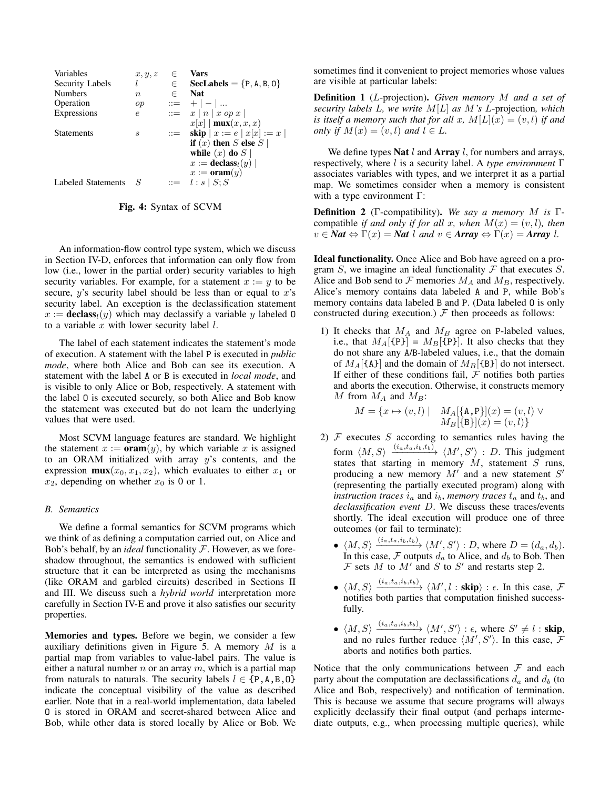| Variables          | x, y, z           | $\in$ | <b>Vars</b>                                           |
|--------------------|-------------------|-------|-------------------------------------------------------|
| Security Labels    |                   | $\in$ | $\textbf{SecLabels} = \{P, A, B, 0\}$                 |
| <b>Numbers</b>     | $\boldsymbol{n}$  | $\in$ | <b>Nat</b>                                            |
| Operation          | op                |       | $ ::= +   -   $                                       |
| Expressions        | $\epsilon$        |       | $\therefore$ $x   n   x op x  $                       |
|                    |                   |       | $x[x]$   mux $(x, x, x)$                              |
| <b>Statements</b>  | $\mathcal{S}_{0}$ |       | $\therefore$ skip $x := e   x   = x  $                |
|                    |                   |       | if $(x)$ then S else S                                |
|                    |                   |       | while $(x)$ do $S$                                    |
|                    |                   |       | $x :=$ <b>declass</b> <sub><math>l</math></sub> $(y)$ |
|                    |                   |       | $x := \textbf{oram}(y)$                               |
| Labeled Statements | S                 |       | $ ::=$ $l : s   S : S$                                |

Fig. 4: Syntax of SCVM

An information-flow control type system, which we discuss in Section IV-D, enforces that information can only flow from low (i.e., lower in the partial order) security variables to high security variables. For example, for a statement  $x := y$  to be secure,  $y$ 's security label should be less than or equal to  $x$ 's security label. An exception is the declassification statement  $x :=$ **declass** $(y)$  which may declassify a variable y labeled 0 to a variable x with lower security label  $l$ .

The label of each statement indicates the statement's mode of execution. A statement with the label P is executed in *public mode*, where both Alice and Bob can see its execution. A statement with the label A or B is executed in *local mode*, and is visible to only Alice or Bob, respectively. A statement with the label O is executed securely, so both Alice and Bob know the statement was executed but do not learn the underlying values that were used.

Most SCVM language features are standard. We highlight the statement  $x := \text{oram}(y)$ , by which variable x is assigned to an ORAM initialized with array  $y$ 's contents, and the expression  $\max(x_0, x_1, x_2)$ , which evaluates to either  $x_1$  or  $x_2$ , depending on whether  $x_0$  is 0 or 1.

#### *B. Semantics*

We define a formal semantics for SCVM programs which we think of as defining a computation carried out, on Alice and Bob's behalf, by an *ideal* functionality F. However, as we foreshadow throughout, the semantics is endowed with sufficient structure that it can be interpreted as using the mechanisms (like ORAM and garbled circuits) described in Sections II and III. We discuss such a *hybrid world* interpretation more carefully in Section IV-E and prove it also satisfies our security properties.

Memories and types. Before we begin, we consider a few auxiliary definitions given in Figure 5. A memory  $M$  is a partial map from variables to value-label pairs. The value is either a natural number  $n$  or an array  $m$ , which is a partial map from naturals to naturals. The security labels  $l \in \{P, A, B, 0\}$ indicate the conceptual visibility of the value as described earlier. Note that in a real-world implementation, data labeled O is stored in ORAM and secret-shared between Alice and Bob, while other data is stored locally by Alice or Bob. We sometimes find it convenient to project memories whose values are visible at particular labels:

Definition 1 (L-projection). *Given memory* M *and a set of security labels* L*, we write* M[L] *as* M*'s* L-projection*, which is itself a memory such that for all x,*  $M[L](x) = (v, l)$  *if and only if*  $M(x) = (v, l)$  *and*  $l \in L$ *.* 

We define types **Nat**  $l$  and **Array**  $l$ , for numbers and arrays, respectively, where l is a security label. A *type environment* Γ associates variables with types, and we interpret it as a partial map. We sometimes consider when a memory is consistent with a type environment Γ:

Definition 2 (Γ-compatibility). *We say a memory* M *is* Γcompatible *if and only if for all x, when*  $M(x) = (v, l)$ *, then*  $v \in \mathbf{Nat} \Leftrightarrow \Gamma(x) = \mathbf{Nat} \mathbf{l}$  and  $v \in \mathbf{Array} \Leftrightarrow \Gamma(x) = \mathbf{Array} \mathbf{l}$ .

Ideal functionality. Once Alice and Bob have agreed on a program S, we imagine an ideal functionality  $\mathcal F$  that executes S. Alice and Bob send to  $\mathcal F$  memories  $M_A$  and  $M_B$ , respectively. Alice's memory contains data labeled A and P, while Bob's memory contains data labeled B and P. (Data labeled O is only constructed during execution.)  $F$  then proceeds as follows:

1) It checks that  $M_A$  and  $M_B$  agree on P-labeled values, i.e., that  $M_A[\{P\}] = M_B[\{P\}]$ . It also checks that they do not share any A/B-labeled values, i.e., that the domain of  $M_A[\{\mathbf{A}\}]$  and the domain of  $M_B[\{\mathbf{B}\}]$  do not intersect. If either of these conditions fail,  $F$  notifies both parties and aborts the execution. Otherwise, it constructs memory M from  $M_A$  and  $M_B$ :

$$
M = \{x \mapsto (v, l) \mid M_A[\{\mathbf{A}, \mathbf{P}\}](x) = (v, l) \vee M_B[\{\mathbf{B}\}](x) = (v, l)\}
$$

- 2)  $F$  executes  $S$  according to semantics rules having the form  $\langle M, S \rangle \xrightarrow{(i_a, t_a, i_b, t_b)} \langle M', S' \rangle$  : D. This judgment states that starting in memory  $M$ , statement  $S$  runs, producing a new memory  $M'$  and a new statement  $S'$ (representing the partially executed program) along with *instruction traces*  $i_a$  and  $i_b$ , *memory traces*  $t_a$  and  $t_b$ , and *declassification event* D. We discuss these traces/events shortly. The ideal execution will produce one of three outcomes (or fail to terminate):
	- $\bullet \langle M, S \rangle \xrightarrow{(i_a, t_a, i_b, t_b)} \langle M', S' \rangle : D$ , where  $D = (d_a, d_b)$ . In this case,  $\mathcal F$  outputs  $d_a$  to Alice, and  $d_b$  to Bob. Then  $F$  sets  $M$  to  $M'$  and  $S$  to  $S'$  and restarts step 2.
	- $\bullet$   $\langle M, S \rangle \xrightarrow{(i_a, t_a, i_b, t_b)} \langle M', l : \textbf{skip} \rangle : \epsilon$ . In this case, F notifies both parties that computation finished successfully.
	- $\bullet$   $\langle M, S \rangle \xrightarrow{(i_a, t_a, i_b, t_b)} \langle M', S' \rangle : \epsilon$ , where  $S' \neq l$  : skip, and no rules further reduce  $\langle M', S' \rangle$ . In this case,  $\mathcal{F}$ aborts and notifies both parties.

Notice that the only communications between  $\mathcal F$  and each party about the computation are declassifications  $d_a$  and  $d_b$  (to Alice and Bob, respectively) and notification of termination. This is because we assume that secure programs will always explicitly declassify their final output (and perhaps intermediate outputs, e.g., when processing multiple queries), while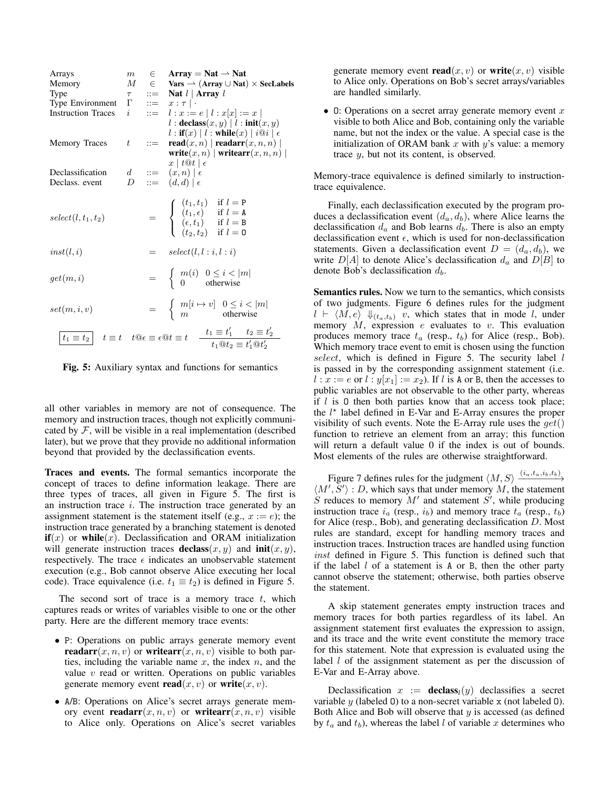| Arrays                                       | m | $\in$ Array = Nat $\rightarrow$ Nat                                                                                                                                                                                                                                |
|----------------------------------------------|---|--------------------------------------------------------------------------------------------------------------------------------------------------------------------------------------------------------------------------------------------------------------------|
| Memory                                       |   | $M \in$ Vars $\rightarrow$ (Array $\cup$ Nat) $\times$ SecLabels                                                                                                                                                                                                   |
| Type                                         |   | $\tau$ ::= Nat l   Array l                                                                                                                                                                                                                                         |
| Type Environment $\Gamma$ ::= $x : \tau$   . |   |                                                                                                                                                                                                                                                                    |
| <b>Instruction Traces</b>                    |   | $i$ $::=$ $l : x := e   l : x[x] := x  $<br>$l : \mathbf{declass}(x, y) \mid l : \mathbf{init}(x, y)$<br>$l : \textbf{if}(x) \mid l : \textbf{while}(x) \mid i@i \mid \epsilon$                                                                                    |
| Memory Traces                                |   | $t$ : $:=$ read $(x, n)$   readarr $(x, n, n)$  <br>write $(x, n)$   writearr $(x, n, n)$  <br>$x \mid t \mathbb{Q} t \mid \epsilon$                                                                                                                               |
| Declassification                             |   |                                                                                                                                                                                                                                                                    |
| Declass. event                               |   | $\begin{array}{ccc} d & ::= & (x,n)   \epsilon \\ D & ::= & (d,d)   \epsilon \end{array}$                                                                                                                                                                          |
| $select(l, t_1, t_2)$                        |   | $\hspace{1.6cm} = \hspace{1.2cm} \left\{ \begin{array}{ll} (t_1, t_1) & \text{if $l = \mathsf{P}$} \\ (t_1, \epsilon) & \text{if $l = \mathtt{A}$} \\ (\epsilon, t_1) & \text{if $l = \mathtt{B}$} \\ (t_2, t_2) & \text{if $l = \mathtt{0}$} \end{array} \right.$ |
| inst(l,i)                                    |   | $= select(l, l : i, l : i)$                                                                                                                                                                                                                                        |
| get(m, i)                                    |   | $=\begin{cases} m(i) & 0 \leq i <  m  \\ 0 & \text{otherwise} \end{cases}$                                                                                                                                                                                         |
| set(m, i, v)                                 |   | $=\begin{cases} m[i \mapsto v] & 0 \leq i <  m  \\ m & \text{otherwise} \end{cases}$                                                                                                                                                                               |
|                                              |   | $\overline{t_1 \equiv t_2}$ $t \equiv t$ $t \mathbb{Q} \epsilon \equiv \epsilon \mathbb{Q} t \equiv t$ $\overline{t_1 \equiv t'_1 \quad t_2 \equiv t'_2 \over t_1 \mathbb{Q} t_2 \equiv t'_1 \mathbb{Q} t'_2}$                                                     |

Fig. 5: Auxiliary syntax and functions for semantics

all other variables in memory are not of consequence. The memory and instruction traces, though not explicitly communicated by  $\mathcal F$ , will be visible in a real implementation (described later), but we prove that they provide no additional information beyond that provided by the declassification events.

Traces and events. The formal semantics incorporate the concept of traces to define information leakage. There are three types of traces, all given in Figure 5. The first is an instruction trace  $i$ . The instruction trace generated by an assignment statement is the statement itself (e.g.,  $x := e$ ); the instruction trace generated by a branching statement is denoted  $\mathbf{if}(x)$  or while $(x)$ . Declassification and ORAM initialization will generate instruction traces **declass** $(x, y)$  and **init** $(x, y)$ , respectively. The trace  $\epsilon$  indicates an unobservable statement execution (e.g., Bob cannot observe Alice executing her local code). Trace equivalence (i.e.  $t_1 \equiv t_2$ ) is defined in Figure 5.

The second sort of trace is a memory trace  $t$ , which captures reads or writes of variables visible to one or the other party. Here are the different memory trace events:

- P: Operations on public arrays generate memory event readarr $(x, n, v)$  or writearr $(x, n, v)$  visible to both parties, including the variable name  $x$ , the index  $n$ , and the value  $v$  read or written. Operations on public variables generate memory event **read** $(x, v)$  or **write** $(x, v)$ .
- A/B: Operations on Alice's secret arrays generate memory event **readarr** $(x, n, v)$  or **writearr** $(x, n, v)$  visible to Alice only. Operations on Alice's secret variables

generate memory event **read** $(x, v)$  or **write** $(x, v)$  visible to Alice only. Operations on Bob's secret arrays/variables are handled similarly.

• 0: Operations on a secret array generate memory event  $x$ visible to both Alice and Bob, containing only the variable name, but not the index or the value. A special case is the initialization of ORAM bank  $x$  with  $y$ 's value: a memory trace y, but not its content, is observed.

Memory-trace equivalence is defined similarly to instructiontrace equivalence.

Finally, each declassification executed by the program produces a declassification event  $(d_a, d_b)$ , where Alice learns the declassification  $d_a$  and Bob learns  $d_b$ . There is also an empty declassification event  $\epsilon$ , which is used for non-declassification statements. Given a declassification event  $D = (d_a, d_b)$ , we write  $D[A]$  to denote Alice's declassification  $d_a$  and  $D[B]$  to denote Bob's declassification  $d_b$ .

Semantics rules. Now we turn to the semantics, which consists of two judgments. Figure 6 defines rules for the judgment  $l \vdash \langle M, e \rangle \Downarrow_{(t_a, t_b)} v$ , which states that in mode l, under memory  $M$ , expression  $e$  evaluates to  $v$ . This evaluation produces memory trace  $t_a$  (resp.,  $t_b$ ) for Alice (resp., Bob). Which memory trace event to emit is chosen using the function select, which is defined in Figure 5. The security label  $l$ is passed in by the corresponding assignment statement (i.e.  $l : x := e$  or  $l : y[x_1] := x_2$ . If l is A or B, then the accesses to public variables are not observable to the other party, whereas if  $l$  is 0 then both parties know that an access took place; the  $l^*$  label defined in E-Var and E-Array ensures the proper visibility of such events. Note the E-Array rule uses the  $qet()$ function to retrieve an element from an array; this function will return a default value 0 if the index is out of bounds. Most elements of the rules are otherwise straightforward.

Figure 7 defines rules for the judgment  $\langle M, S \rangle \xrightarrow{(i_a, t_a, i_b, t_b)}$  $\langle M', S' \rangle : D$ , which says that under memory M, the statement S reduces to memory  $M'$  and statement  $S'$ , while producing instruction trace  $i_a$  (resp.,  $i_b$ ) and memory trace  $t_a$  (resp.,  $t_b$ ) for Alice (resp., Bob), and generating declassification D. Most rules are standard, except for handling memory traces and instruction traces. Instruction traces are handled using function *inst* defined in Figure 5. This function is defined such that if the label  $l$  of a statement is A or B, then the other party cannot observe the statement; otherwise, both parties observe the statement.

A skip statement generates empty instruction traces and memory traces for both parties regardless of its label. An assignment statement first evaluates the expression to assign, and its trace and the write event constitute the memory trace for this statement. Note that expression is evaluated using the label  $l$  of the assignment statement as per the discussion of E-Var and E-Array above.

Declassification  $x := \text{declass}_i(y)$  declassifies a secret variable y (labeled O) to a non-secret variable x (not labeled O). Both Alice and Bob will observe that  $y$  is accessed (as defined by  $t_a$  and  $t_b$ ), whereas the label l of variable x determines who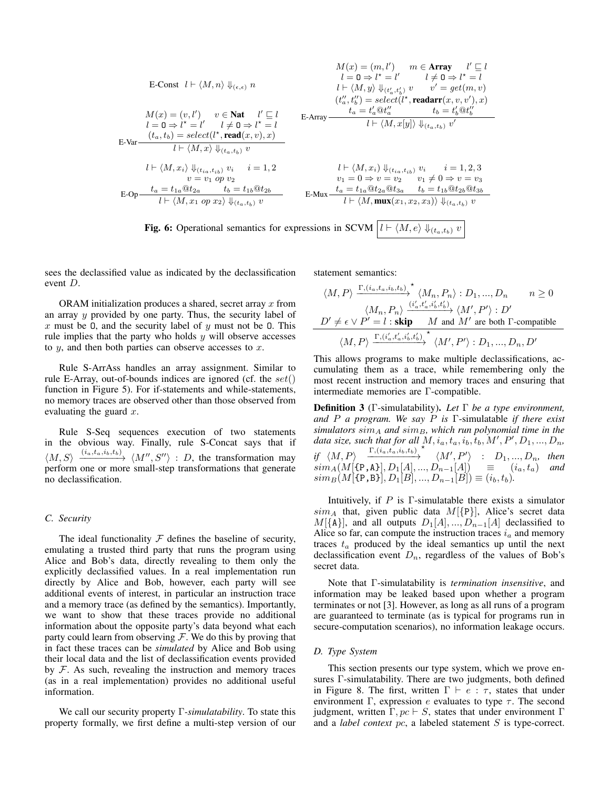$$
M(x) = (m, l') \quad m \in \text{Array} \quad l' \subseteq l
$$
\n
$$
L = 0 \Rightarrow l^* = l' \quad l \neq 0 \Rightarrow l^* = l
$$
\n
$$
l = 0 \Rightarrow l^* = l \quad l + \langle M, y \rangle \Downarrow_{(t'_a, t'_b)} v \quad v' = get(m, v)
$$
\n
$$
M(x) = (v, l') \quad v \in \text{Nat} \quad l' \subseteq l
$$
\n
$$
l = 0 \Rightarrow l^* = l' \quad l \neq 0 \Rightarrow l^* = l
$$
\n
$$
l = 0 \Rightarrow l^* = l' \quad l \neq 0 \Rightarrow l^* = l
$$
\n
$$
l = 0 \Rightarrow l^* = l' \quad l \neq 0 \Rightarrow l^* = l
$$
\n
$$
l = 0 \Rightarrow l^* = l' \quad l \neq 0 \Rightarrow l^* = l
$$
\n
$$
l = 0 \Rightarrow l^* = l' \quad l \neq 0 \Rightarrow l^* = l
$$
\n
$$
l = \langle M, x \rangle \Downarrow_{(t_a, t_b)} v
$$
\n
$$
l = \langle M, x \rangle \Downarrow_{(t_{a}, t_b)} v_i
$$
\n
$$
l = \langle M, x \rangle \Downarrow_{(t_{a}, t_b)} v_i
$$
\n
$$
l = 1, 2
$$
\n
$$
v = v_1 \text{ op } v_2
$$
\n
$$
v_1 = 0 \Rightarrow v = v_2 \quad v_1 \neq 0 \Rightarrow v = v_3
$$
\n
$$
v_1 = 0 \Rightarrow v = v_2 \quad v_1 \neq 0 \Rightarrow v = v_3
$$
\n
$$
l = \langle M, x_1 \rangle \Downarrow_{(t_a, t_b)} v
$$
\n
$$
l = \langle M, x_1 \rangle \Downarrow_{(t_a, t_b)} v
$$
\n
$$
l = \langle M, x_1 \rangle \Downarrow_{(t_a, t_b)} v
$$
\n
$$
l = \langle M, x_1 \rangle \Downarrow_{(t_a, t_b)} v
$$
\n
$$
l = \langle M, x_1 \rangle \Downarrow_{(t_a, t_b)} v
$$
\n
$$
l = \langle M, x_1 \rangle \Downarrow_{(t_a, t_b)} v
$$
\n<

Fig. 6: Operational semantics for expressions in SCVM  $\vert l \vert \langle M, e \rangle \Downarrow_{(t_a,t_b)} v$ 

sees the declassified value as indicated by the declassification event D.

ORAM initialization produces a shared, secret array  $x$  from an array  $y$  provided by one party. Thus, the security label of x must be 0, and the security label of y must not be 0. This rule implies that the party who holds  $y$  will observe accesses to  $y$ , and then both parties can observe accesses to  $x$ .

Rule S-ArrAss handles an array assignment. Similar to rule E-Array, out-of-bounds indices are ignored (cf. the  $set()$ function in Figure 5). For if-statements and while-statements, no memory traces are observed other than those observed from evaluating the guard  $x$ .

Rule S-Seq sequences execution of two statements in the obvious way. Finally, rule S-Concat says that if  $\langle M, S \rangle \xrightarrow{(i_a, t_a, i_b, t_b)} \langle M'', S'' \rangle : D$ , the transformation may perform one or more small-step transformations that generate no declassification.

#### *C. Security*

The ideal functionality  $\mathcal F$  defines the baseline of security, emulating a trusted third party that runs the program using Alice and Bob's data, directly revealing to them only the explicitly declassified values. In a real implementation run directly by Alice and Bob, however, each party will see additional events of interest, in particular an instruction trace and a memory trace (as defined by the semantics). Importantly, we want to show that these traces provide no additional information about the opposite party's data beyond what each party could learn from observing  $F$ . We do this by proving that in fact these traces can be *simulated* by Alice and Bob using their local data and the list of declassification events provided by  $\mathcal F$ . As such, revealing the instruction and memory traces (as in a real implementation) provides no additional useful information.

We call our security property Γ*-simulatability*. To state this property formally, we first define a multi-step version of our statement semantics:

$$
\langle M, P \rangle \xrightarrow{\Gamma, (i_a, t_a, i_b, t_b)} \langle M_n, P_n \rangle : D_1, ..., D_n \qquad n \ge 0
$$
  

$$
\langle M_n, P_n \rangle \xrightarrow{(i'_a, t'_a, i'_b, t'_b)} \langle M', P' \rangle : D'
$$
  

$$
D' \ne \epsilon \vee P' = l : \text{skip} \qquad M \text{ and } M' \text{ are both } \Gamma\text{-compatible}
$$
  

$$
\langle M, P \rangle \xrightarrow{\Gamma, (i'_a, t'_a, i'_b, t'_b)} \langle M', P' \rangle : D_1, ..., D_n, D'
$$

 $\nu - i$ 

This allows programs to make multiple declassifications, accumulating them as a trace, while remembering only the most recent instruction and memory traces and ensuring that intermediate memories are Γ-compatible.

Definition 3 (Γ-simulatability). *Let* Γ *be a type environment, and* P *a program. We say* P *is* Γ-simulatable *if there exist*  $simultors \, \, \text{sim}_{A}$  and  $\, \text{sim}_{B}$ , which run polynomial time in the data size, such that for all  $M$ ,  $i_a$ ,  $t_a$ ,  $i_b$ ,  $\overline{t_b}$ ,  $M', P', D_1, ..., D_n$ , *if*  $\langle M, P \rangle \xrightarrow{\Gamma, (i_a, t_a, i_b, t_b)} \langle M', P' \rangle$  :  $D_1, ..., D_n$ , then  $sim_A(M[\{P,A\}],D_1[A],...,D_{n-1}[A]) \equiv (i_a,t_a)$  and  $sim_B(M[\{P,B\}], D_1[B],..., D_{n-1}[B]) \equiv (i_b, t_b).$ 

Intuitively, if  $P$  is  $\Gamma$ -simulatable there exists a simulator  $sim_A$  that, given public data  $M[\{P\}]$ , Alice's secret data  $M[\{A\}]$ , and all outputs  $D_1[A], ..., D_{n-1}[A]$  declassified to Alice so far, can compute the instruction traces  $i_a$  and memory traces  $t_a$  produced by the ideal semantics up until the next declassification event  $D_n$ , regardless of the values of Bob's secret data.

Note that Γ-simulatability is *termination insensitive*, and information may be leaked based upon whether a program terminates or not [3]. However, as long as all runs of a program are guaranteed to terminate (as is typical for programs run in secure-computation scenarios), no information leakage occurs.

#### *D. Type System*

This section presents our type system, which we prove ensures Γ-simulatability. There are two judgments, both defined in Figure 8. The first, written  $\Gamma \vdash e : \tau$ , states that under environment Γ, expression e evaluates to type  $\tau$ . The second judgment, written  $\Gamma, pc \vdash S$ , states that under environment  $\Gamma$ and a *label context* pc, a labeled statement S is type-correct.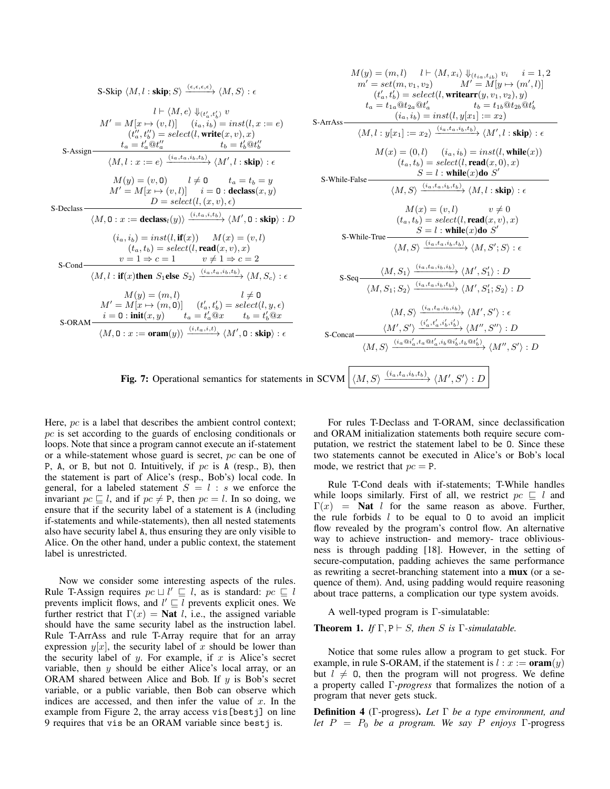S-Skip 
$$
\langle M, l : \text{skip}; S \rangle \xrightarrow{(\epsilon, \epsilon, \epsilon, \epsilon)} \langle M, S \rangle : \epsilon
$$
  
\n $l \vdash \langle M, e \rangle \Downarrow_{(t'_a, t'_b)} v$   
\n $M' = M[x \mapsto (v, l)] \quad (i_a, i_b) = inst(l, x := e)$   
\nS-ArrAss—  
\n $(t'_a, t'_b) = select(l, \text{write}(x, v), x)$   
\nS-Assign—  
\n $t_a = t'_a \text{ and } t'_a$   
\n $\langle M, l : x := e \rangle \xrightarrow{(i_a, t_a, i_b, t_b)} \langle M', l : \text{skip} \rangle : \epsilon$   
\n $M(y) = (v, 0) \quad l \neq 0 \quad t_a = t_b = y$   
\n $M' = M[x \mapsto (v, l)] \quad i = 0 : \text{declass}(x, y)$   
\nS-Declass—  
\n $\langle M, 0 : x := \text{declass}_i(y) \rangle \xrightarrow{(i + a, i, t_b)} \langle M', 0 : \text{skip} \rangle : D$   
\n $(i_a, i_b) = inst(l, \text{ if}(x)) \quad M(x) = (v, l)$   
\n $(t_a, t_b) = select(l, \text{read}(x, v), x)$   
\nS-Cond—  
\n $\langle M, l : \text{if}(x) \text{then } S_1 \text{else } S_2 \rangle \xrightarrow{(i_a, t_a, i_b, t_b)} \langle M, S_c \rangle : \epsilon$   
\n $M' = M[x \mapsto (m, 0)] \quad (t'_a, t'_b) = select(l, y, \epsilon)$   
\n $M' = M[x \mapsto (m, 0)] \quad (t'_a, t'_b) = select(l, y, \epsilon)$   
\nS-ORAM—  
\n $\langle M, 0 : x := \text{orram}(y) \rangle \xrightarrow{(i, t_a, i, t)} \langle M', 0 : \text{skip} \rangle : \epsilon$   
\nS-Concat—  
\nS-ORAM—  
\n $\langle M, 0 : x := \text{orram}(y) \rangle \xrightarrow{(i, t_a, i, t)} \langle M', 0 : \text{skip} \rangle : \epsilon$ 

$$
M(y) = (m, l) \quad l \vdash \langle M, x_i \rangle \Downarrow_{(t_{ia}, t_{ib})} v_i \quad i = 1, 2
$$
\n
$$
m' = set(m, v_1, v_2) \quad M' = M[y \mapsto (m', l)]
$$
\n
$$
(t'_a, t'_b) = select(l, \text{writer}(y, v_1, v_2), y)
$$
\n
$$
t_a = t_{1a} @ t_{2a} @ t'_a \quad t_b = t_{1b} @ t_{2b} @ t'_b
$$
\n
$$
(i_a, i_b) = inst(l, y[x_1] := x_2)
$$
\n
$$
\langle M, l : y[x_1] := x_2 \rangle \xrightarrow{(i_a, t_a, i_b, t_b)} \langle M', l : \text{skip} \rangle : \epsilon
$$
\n
$$
M(x) = (0, l) \quad (i_a, i_b) = inst(l, \text{while}(x))
$$
\n
$$
(t_a, t_b) = select(l, \text{read}(x, 0), x)
$$
\n
$$
S\text{-While-False} \xrightarrow{\langle M, S \rangle} \xrightarrow{(i_a, t_a, i_b, t_b)} \langle M, l : \text{skip} \rangle : \epsilon
$$
\n
$$
M(x) = (v, l) \quad v \neq 0
$$
\n
$$
(t_a, t_b) = select(l, \text{read}(x, v), x)
$$
\n
$$
S\text{-While-True} \xrightarrow{\langle M, S \rangle} \xrightarrow{(i_a, t_a, i_b, t_b)} \langle M, S'; S \rangle : \epsilon
$$
\n
$$
S\text{-Seq} \xrightarrow{\langle M, S_1 \rangle} \xrightarrow{(i_a, t_a, i_b, t_b)} \langle M', S'_1 \rangle : D
$$
\n
$$
\langle M, S \rangle \xrightarrow{(i_a, t_a, i_b, t_b)} \langle M', S'_1 \rangle : D
$$
\n
$$
\langle M, S \rangle \xrightarrow{(i_a, t_a, i_b, t_b)} \langle M', S'_1 \rangle : \epsilon
$$
\n
$$
S\text{-Concat} \xrightarrow{\langle M', S' \rangle} \xrightarrow{(i_a, t_a, i_b, t_b)} \langle M'', S' \rangle : \epsilon
$$
\n
$$
S\text{-Concat} \xrightarrow{\langle M', S \rangle} \xrightarrow{(i_a, t_a, i_b, t_b)} \langle M'', S' \rangle : D
$$
\

Fig. 7: Operational semantics for statements

Here, pc is a label that describes the ambient control context; pc is set according to the guards of enclosing conditionals or loops. Note that since a program cannot execute an if-statement or a while-statement whose guard is secret,  $pc$  can be one of P, A, or B, but not 0. Intuitively, if  $pc$  is A (resp., B), then the statement is part of Alice's (resp., Bob's) local code. In general, for a labeled statement  $S = l : s$  we enforce the invariant  $pc \sqsubseteq l$ , and if  $pc \neq P$ , then  $pc = l$ . In so doing, we ensure that if the security label of a statement is A (including if-statements and while-statements), then all nested statements also have security label A, thus ensuring they are only visible to Alice. On the other hand, under a public context, the statement label is unrestricted.

Now we consider some interesting aspects of the rules. Rule T-Assign requires  $pc \sqcup l' \sqsubseteq l$ , as is standard:  $pc \sqsubseteq l$ prevents implicit flows, and  $l' \sqsubseteq l$  prevents explicit ones. We further restrict that  $\Gamma(x) = \mathbf{Nat} \ l$ , i.e., the assigned variable should have the same security label as the instruction label. Rule T-ArrAss and rule T-Array require that for an array expression  $y[x]$ , the security label of x should be lower than the security label of y. For example, if  $x$  is Alice's secret variable, then  $y$  should be either Alice's local array, or an ORAM shared between Alice and Bob. If  $y$  is Bob's secret variable, or a public variable, then Bob can observe which indices are accessed, and then infer the value of  $x$ . In the example from Figure 2, the array access vis[bestj] on line 9 requires that vis be an ORAM variable since bestj is.

For rules T-Declass and T-ORAM, since declassification and ORAM initialization statements both require secure computation, we restrict the statement label to be O. Since these two statements cannot be executed in Alice's or Bob's local mode, we restrict that  $pc = P$ .

Rule T-Cond deals with if-statements; T-While handles while loops similarly. First of all, we restrict  $pc \subseteq l$  and  $\Gamma(x)$  = **Nat** l for the same reason as above. Further, the rule forbids  $l$  to be equal to 0 to avoid an implicit flow revealed by the program's control flow. An alternative way to achieve instruction- and memory- trace obliviousness is through padding [18]. However, in the setting of secure-computation, padding achieves the same performance as rewriting a secret-branching statement into a mux (or a sequence of them). And, using padding would require reasoning about trace patterns, a complication our type system avoids.

A well-typed program is Γ-simulatable:

**Theorem 1.** *If*  $\Gamma$ ,  $P \vdash S$ *, then S is*  $\Gamma$ *-simulatable.* 

Notice that some rules allow a program to get stuck. For example, in rule S-ORAM, if the statement is  $l : x := \textbf{oram}(y)$ but  $l \neq 0$ , then the program will not progress. We define a property called Γ*-progress* that formalizes the notion of a program that never gets stuck.

Definition 4 (Γ-progress). *Let* Γ *be a type environment, and let* P = P<sup>0</sup> *be a program. We say* P *enjoys* Γ-progress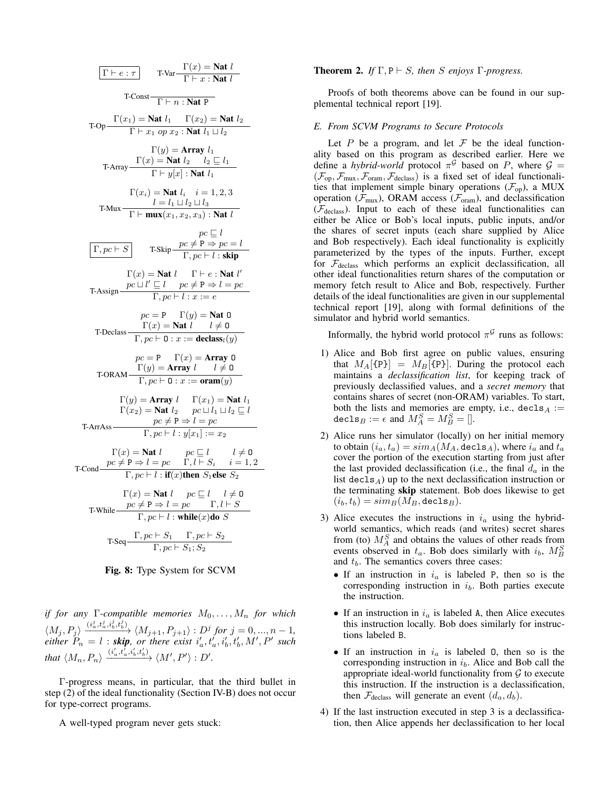| $\Gamma$               | $\Gamma$ -Var | $\Gamma(x) = \text{Nat } l$ |
|------------------------|---------------|-----------------------------|
| $\Gamma$ -Const        | $\Gamma$ -Var | $\Gamma$ -Var               |
| $\Gamma$ -C            | $\Gamma$ -Var | $\Gamma$ -Var               |
| $\Gamma$ -C            | $\Gamma$ -Var | $\Gamma$ -Var               |
| $\Gamma$ -Var          | $\Gamma$ -Var | $\Gamma$ -Var               |
| $\Gamma$ -Var          | $\Gamma$ -Var | $\Gamma$ -Var               |
| $\Gamma$ -Var          | $\Gamma$ -Var | $\Gamma$ -Var               |
| $\Gamma$ -Var          | $\Gamma$ -Var | $\Gamma$ -Var               |
| $\Gamma$ -Var          | $\Gamma$ -Var | $\Gamma$ -Var               |
| $\Gamma$ -Var          | $\Gamma$ -Var | $\Gamma$ -Var               |
| $\Gamma$ -Var          | $\Gamma$ -Var | $\Gamma$ -Var               |
| $\Gamma$ - $\rho$ -Var | $\Gamma$ -Var | $\Gamma$ -Var               |
| $\Gamma$ - $\rho$ -Var | $\Gamma$ -Var | $\Gamma$ -Var               |
| $\Gamma$ - $\rho$ -Var | $\Gamma$ -Var | $\Gamma$ -Var               |
| $\Gamma$ - $\rho$ -Var | $\Gamma$ -Var | $\Gamma$ -Var               |
| $\Gamma$ - $\rho$ -Var | $\Gamma$ -Var |                             |

Fig. 8: Type System for SCVM

*if for any* Γ*-compatible memories* M0, . . . , M<sup>n</sup> *for which*  $\langle M_j, P_j \rangle \xrightarrow{(i_a^j, t_a^j, i_b^j, t_b^j)} \langle M_{j+1}, P_{j+1} \rangle : D^j \text{ for } j = 0, ..., n-1,$ *either*  $P_n = l$ : **skip**, or there exist  $i'_a, t'_a, i'_b, t'_b, M', P'$  such  ${\langle} {\it M}_n, {\it P}_n \rangle \xrightarrow{({i}'_a, {t}'_a, {i}'_b, {t}'_b)} \langle {\it M}', {\it P}' \rangle : {\it D}'.$ 

Γ-progress means, in particular, that the third bullet in step (2) of the ideal functionality (Section IV-B) does not occur for type-correct programs.

A well-typed program never gets stuck:

#### **Theorem 2.** *If*  $\Gamma$ ,  $P \vdash S$ *, then S enjoys*  $\Gamma$ *-progress.*

Proofs of both theorems above can be found in our supplemental technical report [19].

#### *E. From SCVM Programs to Secure Protocols*

Let  $P$  be a program, and let  $\mathcal F$  be the ideal functionality based on this program as described earlier. Here we define a *hybrid-world* protocol  $\pi^{\mathcal{G}}$  based on P, where  $\mathcal{G}$  =  $(\mathcal{F}_{op}, \mathcal{F}_{max}, \mathcal{F}_{organ}, \mathcal{F}_{declass})$  is a fixed set of ideal functionalities that implement simple binary operations ( $\mathcal{F}_{op}$ ), a MUX operation ( $\mathcal{F}_{\text{mux}}$ ), ORAM access ( $\mathcal{F}_{\text{oram}}$ ), and declassification  $(\mathcal{F}_{\text{declass}})$ . Input to each of these ideal functionalities can either be Alice or Bob's local inputs, public inputs, and/or the shares of secret inputs (each share supplied by Alice and Bob respectively). Each ideal functionality is explicitly parameterized by the types of the inputs. Further, except for  $F_{\text{declass}}$  which performs an explicit declassification, all other ideal functionalities return shares of the computation or memory fetch result to Alice and Bob, respectively. Further details of the ideal functionalities are given in our supplemental technical report [19], along with formal definitions of the simulator and hybrid world semantics.

Informally, the hybrid world protocol  $\pi^{\mathcal{G}}$  runs as follows:

- 1) Alice and Bob first agree on public values, ensuring that  $M_A$ [{P}] =  $M_B$ [{P}]. During the protocol each maintains a *declassification list*, for keeping track of previously declassified values, and a *secret memory* that contains shares of secret (non-ORAM) variables. To start, both the lists and memories are empty, i.e., decls<sub>A</sub> := decls $_B := \epsilon$  and  $M_A^S = M_B^S = []$ .
- 2) Alice runs her simulator (locally) on her initial memory to obtain  $(i_a, t_a) = sim_A(M_A, \text{decls}_A)$ , where  $i_a$  and  $t_a$ cover the portion of the execution starting from just after the last provided declassification (i.e., the final  $d_a$  in the list decls $_A$ ) up to the next declassification instruction or the terminating skip statement. Bob does likewise to get  $(i_b, t_b) = sim_B(M_B, \texttt{decls}_B).$
- 3) Alice executes the instructions in  $i_a$  using the hybridworld semantics, which reads (and writes) secret shares from (to)  $M_A^S$  and obtains the values of other reads from events observed in  $t_a$ . Bob does similarly with  $i_b$ ,  $M_B^S$ and  $t<sub>b</sub>$ . The semantics covers three cases:
	- If an instruction in  $i_a$  is labeled P, then so is the corresponding instruction in  $i<sub>b</sub>$ . Both parties execute the instruction.
	- If an instruction in  $i_a$  is labeled A, then Alice executes this instruction locally. Bob does similarly for instructions labeled B.
	- If an instruction in  $i_a$  is labeled 0, then so is the corresponding instruction in  $i<sub>b</sub>$ . Alice and Bob call the appropriate ideal-world functionality from  $G$  to execute this instruction. If the instruction is a declassification, then  $\mathcal{F}_{\text{declass}}$  will generate an event  $(d_a, d_b)$ .
- 4) If the last instruction executed in step 3 is a declassification, then Alice appends her declassification to her local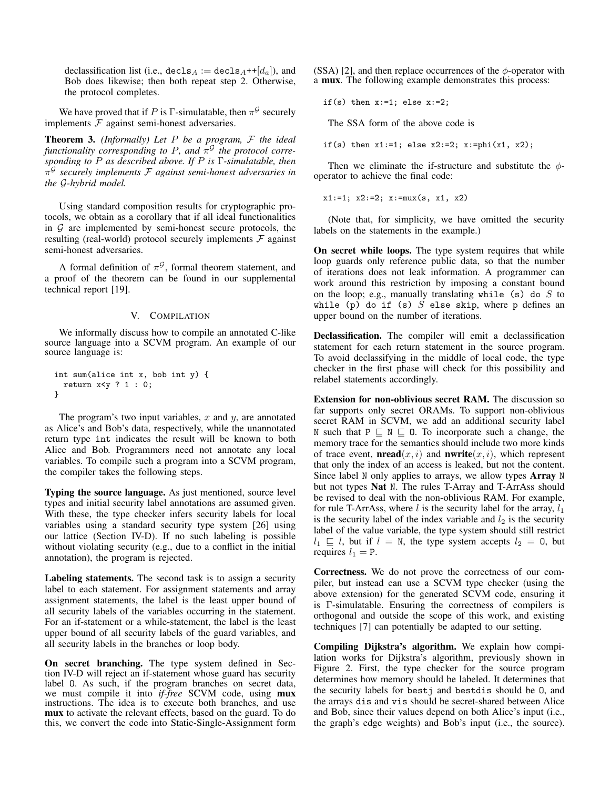declassification list (i.e., decls<sub>A</sub> := decls<sub>A</sub>++[ $d_a$ ]), and Bob does likewise; then both repeat step 2. Otherwise, the protocol completes.

We have proved that if P is  $\Gamma$ -simulatable, then  $\pi^{\mathcal{G}}$  securely implements  $F$  against semi-honest adversaries.

Theorem 3. *(Informally) Let* P *be a program,* F *the ideal functionality corresponding to* P*, and* π G *the protocol corresponding to* P *as described above. If* P *is* Γ*-simulatable, then* π G *securely implements* F *against semi-honest adversaries in the* G*-hybrid model.*

Using standard composition results for cryptographic protocols, we obtain as a corollary that if all ideal functionalities in  $G$  are implemented by semi-honest secure protocols, the resulting (real-world) protocol securely implements  $\mathcal F$  against semi-honest adversaries.

A formal definition of  $\pi^{\mathcal{G}}$ , formal theorem statement, and a proof of the theorem can be found in our supplemental technical report [19].

#### V. COMPILATION

We informally discuss how to compile an annotated C-like source language into a SCVM program. An example of our source language is:

```
int sum(alice int x, bob int y) {
 return x<y ? 1 : 0;
}
```
The program's two input variables,  $x$  and  $y$ , are annotated as Alice's and Bob's data, respectively, while the unannotated return type int indicates the result will be known to both Alice and Bob. Programmers need not annotate any local variables. To compile such a program into a SCVM program, the compiler takes the following steps.

Typing the source language. As just mentioned, source level types and initial security label annotations are assumed given. With these, the type checker infers security labels for local variables using a standard security type system [26] using our lattice (Section IV-D). If no such labeling is possible without violating security (e.g., due to a conflict in the initial annotation), the program is rejected.

Labeling statements. The second task is to assign a security label to each statement. For assignment statements and array assignment statements, the label is the least upper bound of all security labels of the variables occurring in the statement. For an if-statement or a while-statement, the label is the least upper bound of all security labels of the guard variables, and all security labels in the branches or loop body.

On secret branching. The type system defined in Section IV-D will reject an if-statement whose guard has security label O. As such, if the program branches on secret data, we must compile it into *if-free* SCVM code, using mux instructions. The idea is to execute both branches, and use mux to activate the relevant effects, based on the guard. To do this, we convert the code into Static-Single-Assignment form (SSA) [2], and then replace occurrences of the  $\phi$ -operator with a mux. The following example demonstrates this process:

if(s) then  $x:=1$ ; else  $x:=2$ ;

The SSA form of the above code is

if(s) then  $x1:=1$ ; else  $x2:=2$ ;  $x:=phi(x1, x2)$ ;

Then we eliminate the if-structure and substitute the  $\phi$ operator to achieve the final code:

 $x1:=1$ ;  $x2:=2$ ;  $x:=max(s, x1, x2)$ 

(Note that, for simplicity, we have omitted the security labels on the statements in the example.)

On secret while loops. The type system requires that while loop guards only reference public data, so that the number of iterations does not leak information. A programmer can work around this restriction by imposing a constant bound on the loop; e.g., manually translating while (s) do  $S$  to while (p) do if (s)  $S$  else skip, where p defines an upper bound on the number of iterations.

Declassification. The compiler will emit a declassification statement for each return statement in the source program. To avoid declassifying in the middle of local code, the type checker in the first phase will check for this possibility and relabel statements accordingly.

Extension for non-oblivious secret RAM. The discussion so far supports only secret ORAMs. To support non-oblivious secret RAM in SCVM, we add an additional security label N such that  $P \subseteq N \subseteq 0$ . To incorporate such a change, the memory trace for the semantics should include two more kinds of trace event, **nread** $(x, i)$  and **nwrite** $(x, i)$ , which represent that only the index of an access is leaked, but not the content. Since label N only applies to arrays, we allow types Array N but not types Nat N. The rules T-Array and T-ArrAss should be revised to deal with the non-oblivious RAM. For example, for rule T-ArrAss, where  $l$  is the security label for the array,  $l_1$ is the security label of the index variable and  $l_2$  is the security label of the value variable, the type system should still restrict  $l_1 \sqsubseteq l$ , but if  $l = N$ , the type system accepts  $l_2 = 0$ , but requires  $l_1 = P$ .

Correctness. We do not prove the correctness of our compiler, but instead can use a SCVM type checker (using the above extension) for the generated SCVM code, ensuring it is Γ-simulatable. Ensuring the correctness of compilers is orthogonal and outside the scope of this work, and existing techniques [7] can potentially be adapted to our setting.

Compiling Dijkstra's algorithm. We explain how compilation works for Dijkstra's algorithm, previously shown in Figure 2. First, the type checker for the source program determines how memory should be labeled. It determines that the security labels for bestj and bestdis should be O, and the arrays dis and vis should be secret-shared between Alice and Bob, since their values depend on both Alice's input (i.e., the graph's edge weights) and Bob's input (i.e., the source).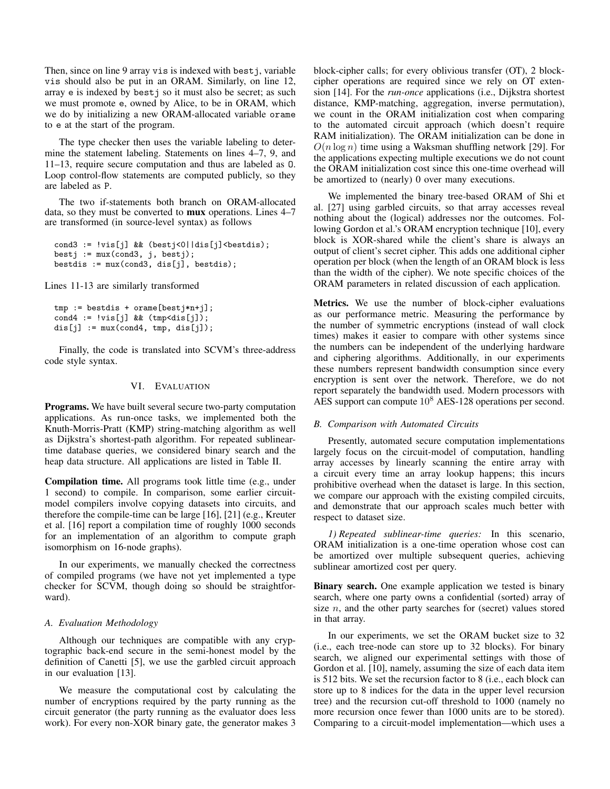Then, since on line 9 array vis is indexed with bestj, variable vis should also be put in an ORAM. Similarly, on line 12, array e is indexed by bestj so it must also be secret; as such we must promote e, owned by Alice, to be in ORAM, which we do by initializing a new ORAM-allocated variable orame to e at the start of the program.

The type checker then uses the variable labeling to determine the statement labeling. Statements on lines 4–7, 9, and 11–13, require secure computation and thus are labeled as O. Loop control-flow statements are computed publicly, so they are labeled as P.

The two if-statements both branch on ORAM-allocated data, so they must be converted to **mux** operations. Lines 4–7 are transformed (in source-level syntax) as follows

```
cond3 := !vis[j] && (bestj<0||dis[j]<bestdis);
bestj := \text{mux}(\text{cond3, j, bestj});bestdis := \max(\text{cond3, dis}[j], \text{bestdis});
```
Lines 11-13 are similarly transformed

```
tmp := bestdis + orame[bestj*n+j];
cond4 := 'vis[j] &amp; k (tmp<dis[j]);dis[j] := \max(cond4, tmp, dis[j]);
```
Finally, the code is translated into SCVM's three-address code style syntax.

# VI. EVALUATION

Programs. We have built several secure two-party computation applications. As run-once tasks, we implemented both the Knuth-Morris-Pratt (KMP) string-matching algorithm as well as Dijkstra's shortest-path algorithm. For repeated sublineartime database queries, we considered binary search and the heap data structure. All applications are listed in Table II.

Compilation time. All programs took little time (e.g., under 1 second) to compile. In comparison, some earlier circuitmodel compilers involve copying datasets into circuits, and therefore the compile-time can be large [16], [21] (e.g., Kreuter et al. [16] report a compilation time of roughly 1000 seconds for an implementation of an algorithm to compute graph isomorphism on 16-node graphs).

In our experiments, we manually checked the correctness of compiled programs (we have not yet implemented a type checker for SCVM, though doing so should be straightforward).

# *A. Evaluation Methodology*

Although our techniques are compatible with any cryptographic back-end secure in the semi-honest model by the definition of Canetti [5], we use the garbled circuit approach in our evaluation [13].

We measure the computational cost by calculating the number of encryptions required by the party running as the circuit generator (the party running as the evaluator does less work). For every non-XOR binary gate, the generator makes 3 block-cipher calls; for every oblivious transfer (OT), 2 blockcipher operations are required since we rely on OT extension [14]. For the *run-once* applications (i.e., Dijkstra shortest distance, KMP-matching, aggregation, inverse permutation), we count in the ORAM initialization cost when comparing to the automated circuit approach (which doesn't require RAM initialization). The ORAM initialization can be done in  $O(n \log n)$  time using a Waksman shuffling network [29]. For the applications expecting multiple executions we do not count the ORAM initialization cost since this one-time overhead will be amortized to (nearly) 0 over many executions.

We implemented the binary tree-based ORAM of Shi et al. [27] using garbled circuits, so that array accesses reveal nothing about the (logical) addresses nor the outcomes. Following Gordon et al.'s ORAM encryption technique [10], every block is XOR-shared while the client's share is always an output of client's secret cipher. This adds one additional cipher operation per block (when the length of an ORAM block is less than the width of the cipher). We note specific choices of the ORAM parameters in related discussion of each application.

Metrics. We use the number of block-cipher evaluations as our performance metric. Measuring the performance by the number of symmetric encryptions (instead of wall clock times) makes it easier to compare with other systems since the numbers can be independent of the underlying hardware and ciphering algorithms. Additionally, in our experiments these numbers represent bandwidth consumption since every encryption is sent over the network. Therefore, we do not report separately the bandwidth used. Modern processors with AES support can compute  $10^8$  AES-128 operations per second.

# *B. Comparison with Automated Circuits*

Presently, automated secure computation implementations largely focus on the circuit-model of computation, handling array accesses by linearly scanning the entire array with a circuit every time an array lookup happens; this incurs prohibitive overhead when the dataset is large. In this section, we compare our approach with the existing compiled circuits, and demonstrate that our approach scales much better with respect to dataset size.

*1) Repeated sublinear-time queries:* In this scenario, ORAM initialization is a one-time operation whose cost can be amortized over multiple subsequent queries, achieving sublinear amortized cost per query.

Binary search. One example application we tested is binary search, where one party owns a confidential (sorted) array of size  $n$ , and the other party searches for (secret) values stored in that array.

In our experiments, we set the ORAM bucket size to 32 (i.e., each tree-node can store up to 32 blocks). For binary search, we aligned our experimental settings with those of Gordon et al. [10], namely, assuming the size of each data item is 512 bits. We set the recursion factor to 8 (i.e., each block can store up to 8 indices for the data in the upper level recursion tree) and the recursion cut-off threshold to 1000 (namely no more recursion once fewer than 1000 units are to be stored). Comparing to a circuit-model implementation—which uses a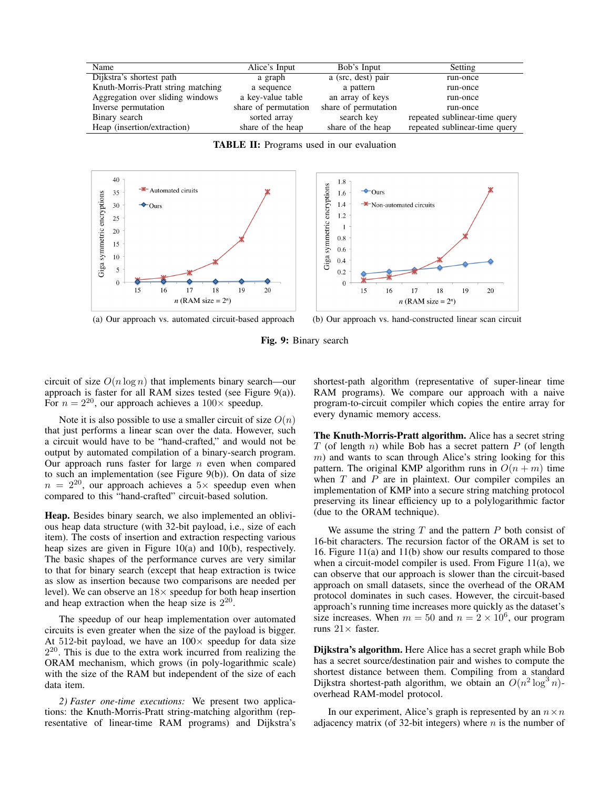| Name                               | Alice's Input        | Bob's Input          | Setting                       |
|------------------------------------|----------------------|----------------------|-------------------------------|
| Dijkstra's shortest path           | a graph              | a (src, dest) pair   | run-once                      |
| Knuth-Morris-Pratt string matching | a sequence           | a pattern            | run-once                      |
| Aggregation over sliding windows   | a key-value table    | an array of keys     | run-once                      |
| Inverse permutation                | share of permutation | share of permutation | run-once                      |
| Binary search                      | sorted array         | search key           | repeated sublinear-time query |
| Heap (insertion/extraction)        | share of the heap    | share of the heap    | repeated sublinear-time query |

TABLE II: Programs used in our evaluation





Fig. 9: Binary search

circuit of size  $O(n \log n)$  that implements binary search—our approach is faster for all RAM sizes tested (see Figure 9(a)). For  $n = 2^{20}$ , our approach achieves a  $100 \times$  speedup.

Note it is also possible to use a smaller circuit of size  $O(n)$ that just performs a linear scan over the data. However, such a circuit would have to be "hand-crafted," and would not be output by automated compilation of a binary-search program. Our approach runs faster for large  $n$  even when compared to such an implementation (see Figure 9(b)). On data of size  $n = 2^{20}$ , our approach achieves a 5× speedup even when compared to this "hand-crafted" circuit-based solution.

Heap. Besides binary search, we also implemented an oblivious heap data structure (with 32-bit payload, i.e., size of each item). The costs of insertion and extraction respecting various heap sizes are given in Figure 10(a) and 10(b), respectively. The basic shapes of the performance curves are very similar to that for binary search (except that heap extraction is twice as slow as insertion because two comparisons are needed per level). We can observe an  $18\times$  speedup for both heap insertion and heap extraction when the heap size is  $2^{20}$ .

The speedup of our heap implementation over automated circuits is even greater when the size of the payload is bigger. At 512-bit payload, we have an  $100 \times$  speedup for data size 2 <sup>20</sup>. This is due to the extra work incurred from realizing the ORAM mechanism, which grows (in poly-logarithmic scale) with the size of the RAM but independent of the size of each data item.

*2) Faster one-time executions:* We present two applications: the Knuth-Morris-Pratt string-matching algorithm (representative of linear-time RAM programs) and Dijkstra's shortest-path algorithm (representative of super-linear time RAM programs). We compare our approach with a naive program-to-circuit compiler which copies the entire array for every dynamic memory access.

The Knuth-Morris-Pratt algorithm. Alice has a secret string  $T$  (of length *n*) while Bob has a secret pattern  $P$  (of length  $m$ ) and wants to scan through Alice's string looking for this pattern. The original KMP algorithm runs in  $O(n + m)$  time when  $T$  and  $P$  are in plaintext. Our compiler compiles an implementation of KMP into a secure string matching protocol preserving its linear efficiency up to a polylogarithmic factor (due to the ORAM technique).

We assume the string  $T$  and the pattern  $P$  both consist of 16-bit characters. The recursion factor of the ORAM is set to 16. Figure 11(a) and 11(b) show our results compared to those when a circuit-model compiler is used. From Figure 11(a), we can observe that our approach is slower than the circuit-based approach on small datasets, since the overhead of the ORAM protocol dominates in such cases. However, the circuit-based approach's running time increases more quickly as the dataset's size increases. When  $m = 50$  and  $n = 2 \times 10^6$ , our program runs  $21 \times$  faster.

Dijkstra's algorithm. Here Alice has a secret graph while Bob has a secret source/destination pair and wishes to compute the shortest distance between them. Compiling from a standard Dijkstra shortest-path algorithm, we obtain an  $O(n^2 \log^3 n)$ overhead RAM-model protocol.

In our experiment, Alice's graph is represented by an  $n \times n$ adjacency matrix (of 32-bit integers) where  $n$  is the number of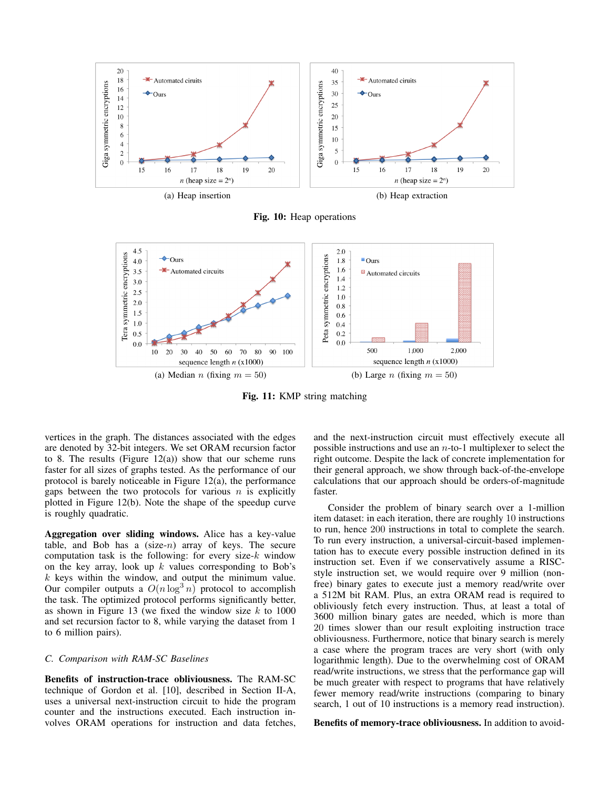

Fig. 11: KMP string matching

vertices in the graph. The distances associated with the edges are denoted by 32-bit integers. We set ORAM recursion factor to 8. The results (Figure  $12(a)$ ) show that our scheme runs faster for all sizes of graphs tested. As the performance of our protocol is barely noticeable in Figure 12(a), the performance gaps between the two protocols for various  $n$  is explicitly plotted in Figure 12(b). Note the shape of the speedup curve is roughly quadratic.

Aggregation over sliding windows. Alice has a key-value table, and Bob has a (size- $n$ ) array of keys. The secure computation task is the following: for every size- $k$  window on the key array, look up  $k$  values corresponding to Bob's  $k$  keys within the window, and output the minimum value. Our compiler outputs a  $O(n \log^3 n)$  protocol to accomplish the task. The optimized protocol performs significantly better, as shown in Figure 13 (we fixed the window size  $k$  to 1000 and set recursion factor to 8, while varying the dataset from 1 to 6 million pairs).

# *C. Comparison with RAM-SC Baselines*

Benefits of instruction-trace obliviousness. The RAM-SC technique of Gordon et al. [10], described in Section II-A, uses a universal next-instruction circuit to hide the program counter and the instructions executed. Each instruction involves ORAM operations for instruction and data fetches, and the next-instruction circuit must effectively execute all possible instructions and use an  $n$ -to-1 multiplexer to select the right outcome. Despite the lack of concrete implementation for their general approach, we show through back-of-the-envelope calculations that our approach should be orders-of-magnitude faster.

Consider the problem of binary search over a 1-million item dataset: in each iteration, there are roughly 10 instructions to run, hence 200 instructions in total to complete the search. To run every instruction, a universal-circuit-based implementation has to execute every possible instruction defined in its instruction set. Even if we conservatively assume a RISCstyle instruction set, we would require over 9 million (nonfree) binary gates to execute just a memory read/write over a 512M bit RAM. Plus, an extra ORAM read is required to obliviously fetch every instruction. Thus, at least a total of 3600 million binary gates are needed, which is more than 20 times slower than our result exploiting instruction trace obliviousness. Furthermore, notice that binary search is merely a case where the program traces are very short (with only logarithmic length). Due to the overwhelming cost of ORAM read/write instructions, we stress that the performance gap will be much greater with respect to programs that have relatively fewer memory read/write instructions (comparing to binary search, 1 out of 10 instructions is a memory read instruction).

Benefits of memory-trace obliviousness. In addition to avoid-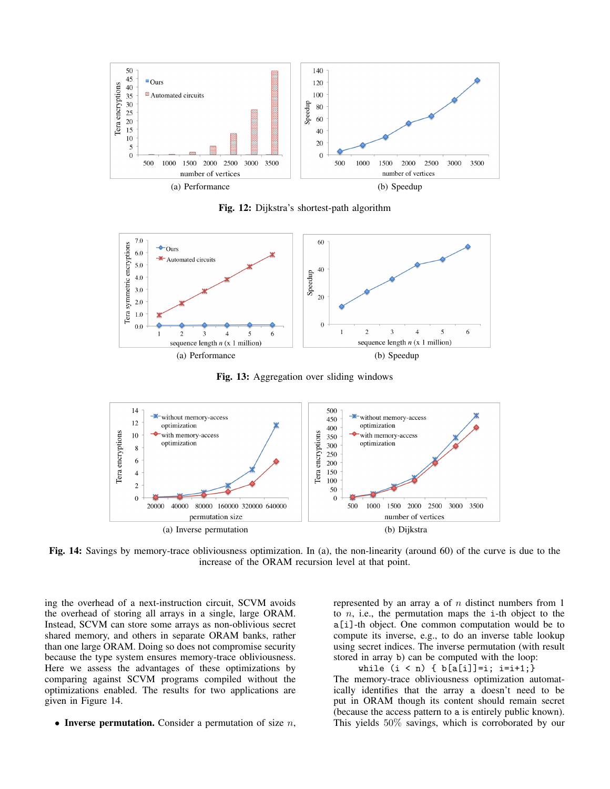

Fig. 12: Dijkstra's shortest-path algorithm



Fig. 13: Aggregation over sliding windows



Fig. 14: Savings by memory-trace obliviousness optimization. In (a), the non-linearity (around 60) of the curve is due to the increase of the ORAM recursion level at that point.

ing the overhead of a next-instruction circuit, SCVM avoids the overhead of storing all arrays in a single, large ORAM. Instead, SCVM can store some arrays as non-oblivious secret shared memory, and others in separate ORAM banks, rather than one large ORAM. Doing so does not compromise security because the type system ensures memory-trace obliviousness. Here we assess the advantages of these optimizations by comparing against SCVM programs compiled without the optimizations enabled. The results for two applications are given in Figure 14.

• Inverse permutation. Consider a permutation of size  $n$ ,

represented by an array a of  $n$  distinct numbers from 1 to  $n$ , i.e., the permutation maps the i-th object to the a[i]-th object. One common computation would be to compute its inverse, e.g., to do an inverse table lookup using secret indices. The inverse permutation (with result stored in array b) can be computed with the loop:

while  $(i < n) \{ b[a[i]] = i; i=i+1; \}$ The memory-trace obliviousness optimization automatically identifies that the array a doesn't need to be put in ORAM though its content should remain secret (because the access pattern to a is entirely public known). This yields 50% savings, which is corroborated by our